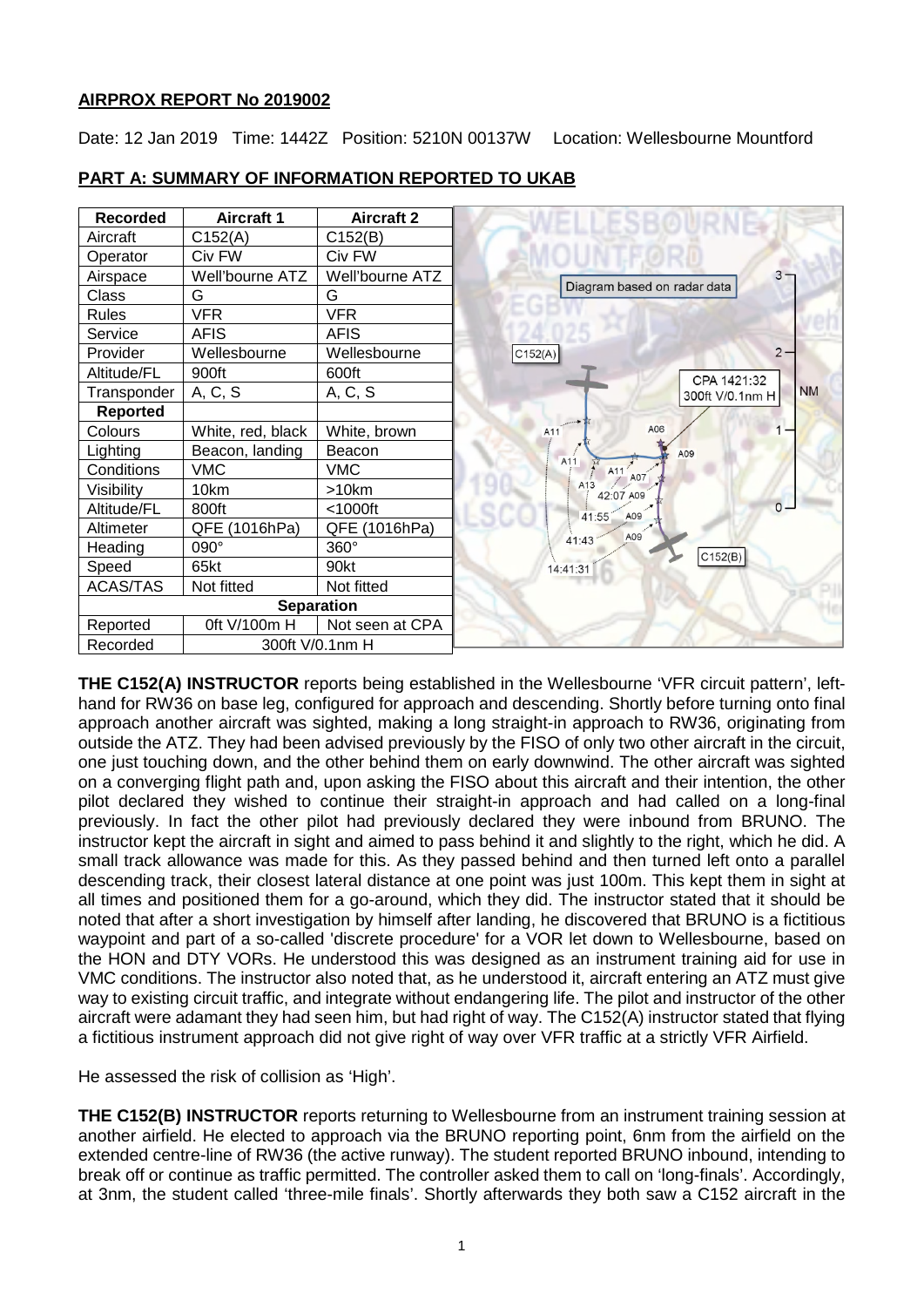# **AIRPROX REPORT No 2019002**

Date: 12 Jan 2019 Time: 1442Z Position: 5210N 00137W Location: Wellesbourne Mountford

| <b>Recorded</b>   | <b>Aircraft 1</b> | <b>Aircraft 2</b> |  |
|-------------------|-------------------|-------------------|--|
| Aircraft          | C152(A)           | C152(B)           |  |
| Operator          | Civ FW            | Civ FW            |  |
| Airspace          | Well'bourne ATZ   | Well'bourne ATZ   |  |
| Class             | G                 | G                 |  |
| <b>Rules</b>      | <b>VFR</b>        | <b>VFR</b>        |  |
| Service           | <b>AFIS</b>       | <b>AFIS</b>       |  |
| Provider          | Wellesbourne      | Wellesbourne      |  |
| Altitude/FL       | 900ft             | 600ft             |  |
| Transponder       | A, C, S           | A, C, S           |  |
| <b>Reported</b>   |                   |                   |  |
| Colours           | White, red, black | White, brown      |  |
| Lighting          | Beacon, landing   | Beacon            |  |
| Conditions        | <b>VMC</b>        | <b>VMC</b>        |  |
| Visibility        | 10km              | >10km             |  |
| Altitude/FL       | 800ft             | $<$ 1000ft        |  |
| Altimeter         | QFE (1016hPa)     | QFE (1016hPa)     |  |
| Heading           | 090°              | 360°              |  |
| Speed             | 65kt              | 90kt              |  |
| <b>ACAS/TAS</b>   | Not fitted        | Not fitted        |  |
| <b>Separation</b> |                   |                   |  |
| Reported          | 0ft V/100m H      | Not seen at CPA   |  |
| Recorded          | 300ft V/0.1nm H   |                   |  |

# **PART A: SUMMARY OF INFORMATION REPORTED TO UKAB**

**THE C152(A) INSTRUCTOR** reports being established in the Wellesbourne 'VFR circuit pattern', lefthand for RW36 on base leg, configured for approach and descending. Shortly before turning onto final approach another aircraft was sighted, making a long straight-in approach to RW36, originating from outside the ATZ. They had been advised previously by the FISO of only two other aircraft in the circuit, one just touching down, and the other behind them on early downwind. The other aircraft was sighted on a converging flight path and, upon asking the FISO about this aircraft and their intention, the other pilot declared they wished to continue their straight-in approach and had called on a long-final previously. In fact the other pilot had previously declared they were inbound from BRUNO. The instructor kept the aircraft in sight and aimed to pass behind it and slightly to the right, which he did. A small track allowance was made for this. As they passed behind and then turned left onto a parallel descending track, their closest lateral distance at one point was just 100m. This kept them in sight at all times and positioned them for a go-around, which they did. The instructor stated that it should be noted that after a short investigation by himself after landing, he discovered that BRUNO is a fictitious waypoint and part of a so-called 'discrete procedure' for a VOR let down to Wellesbourne, based on the HON and DTY VORs. He understood this was designed as an instrument training aid for use in VMC conditions. The instructor also noted that, as he understood it, aircraft entering an ATZ must give way to existing circuit traffic, and integrate without endangering life. The pilot and instructor of the other aircraft were adamant they had seen him, but had right of way. The C152(A) instructor stated that flying a fictitious instrument approach did not give right of way over VFR traffic at a strictly VFR Airfield.

He assessed the risk of collision as 'High'.

**THE C152(B) INSTRUCTOR** reports returning to Wellesbourne from an instrument training session at another airfield. He elected to approach via the BRUNO reporting point, 6nm from the airfield on the extended centre-line of RW36 (the active runway). The student reported BRUNO inbound, intending to break off or continue as traffic permitted. The controller asked them to call on 'long-finals'. Accordingly, at 3nm, the student called 'three-mile finals'. Shortly afterwards they both saw a C152 aircraft in the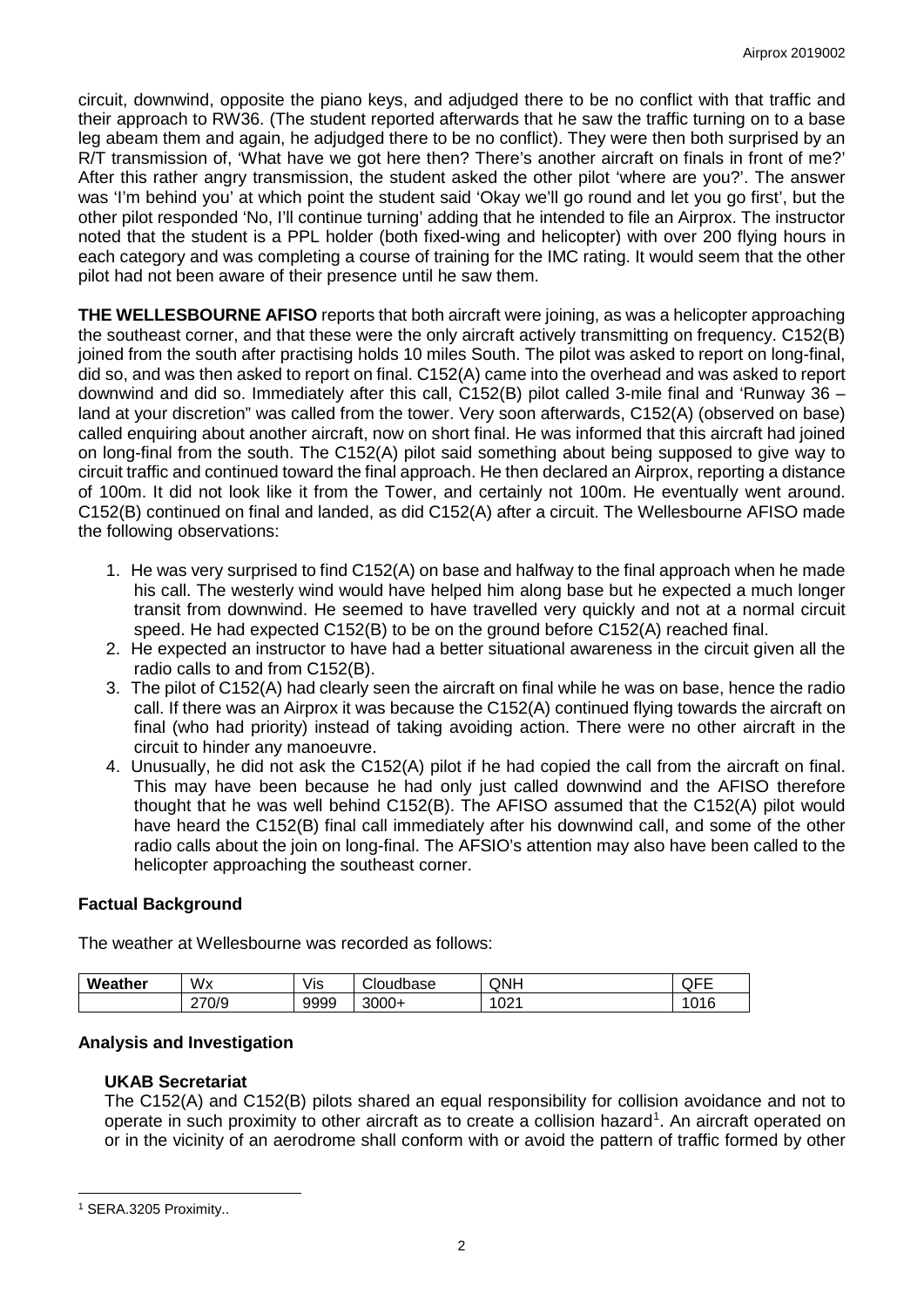circuit, downwind, opposite the piano keys, and adjudged there to be no conflict with that traffic and their approach to RW36. (The student reported afterwards that he saw the traffic turning on to a base leg abeam them and again, he adjudged there to be no conflict). They were then both surprised by an R/T transmission of, 'What have we got here then? There's another aircraft on finals in front of me?' After this rather angry transmission, the student asked the other pilot 'where are you?'. The answer was 'I'm behind you' at which point the student said 'Okay we'll go round and let you go first', but the other pilot responded 'No, I'll continue turning' adding that he intended to file an Airprox. The instructor noted that the student is a PPL holder (both fixed-wing and helicopter) with over 200 flying hours in each category and was completing a course of training for the IMC rating. It would seem that the other pilot had not been aware of their presence until he saw them.

**THE WELLESBOURNE AFISO** reports that both aircraft were joining, as was a helicopter approaching the southeast corner, and that these were the only aircraft actively transmitting on frequency. C152(B) joined from the south after practising holds 10 miles South. The pilot was asked to report on long-final, did so, and was then asked to report on final. C152(A) came into the overhead and was asked to report downwind and did so. Immediately after this call, C152(B) pilot called 3-mile final and 'Runway 36 – land at your discretion" was called from the tower. Very soon afterwards, C152(A) (observed on base) called enquiring about another aircraft, now on short final. He was informed that this aircraft had joined on long-final from the south. The C152(A) pilot said something about being supposed to give way to circuit traffic and continued toward the final approach. He then declared an Airprox, reporting a distance of 100m. It did not look like it from the Tower, and certainly not 100m. He eventually went around. C152(B) continued on final and landed, as did C152(A) after a circuit. The Wellesbourne AFISO made the following observations:

- 1. He was very surprised to find C152(A) on base and halfway to the final approach when he made his call. The westerly wind would have helped him along base but he expected a much longer transit from downwind. He seemed to have travelled very quickly and not at a normal circuit speed. He had expected C152(B) to be on the ground before C152(A) reached final.
- 2. He expected an instructor to have had a better situational awareness in the circuit given all the radio calls to and from C152(B).
- 3. The pilot of C152(A) had clearly seen the aircraft on final while he was on base, hence the radio call. If there was an Airprox it was because the C152(A) continued flying towards the aircraft on final (who had priority) instead of taking avoiding action. There were no other aircraft in the circuit to hinder any manoeuvre.
- 4. Unusually, he did not ask the C152(A) pilot if he had copied the call from the aircraft on final. This may have been because he had only just called downwind and the AFISO therefore thought that he was well behind C152(B). The AFISO assumed that the C152(A) pilot would have heard the C152(B) final call immediately after his downwind call, and some of the other radio calls about the join on long-final. The AFSIO's attention may also have been called to the helicopter approaching the southeast corner.

# **Factual Background**

The weather at Wellesbourne was recorded as follows:

| Weather | Wx    | Vis  | Cloudbase         | QNH         | --<br>--<br><b>WIL</b> |
|---------|-------|------|-------------------|-------------|------------------------|
|         | 270/9 | 9999 | $3000 +$<br>. 1—⊢ | nn,<br>UZ I | 016                    |

# **Analysis and Investigation**

# **UKAB Secretariat**

The C152(A) and C152(B) pilots shared an equal responsibility for collision avoidance and not to operate in such proximity to other aircraft as to create a collision hazard<sup>[1](#page-1-0)</sup>. An aircraft operated on or in the vicinity of an aerodrome shall conform with or avoid the pattern of traffic formed by other

 $\overline{\phantom{a}}$ 

<span id="page-1-0"></span><sup>1</sup> SERA.3205 Proximity..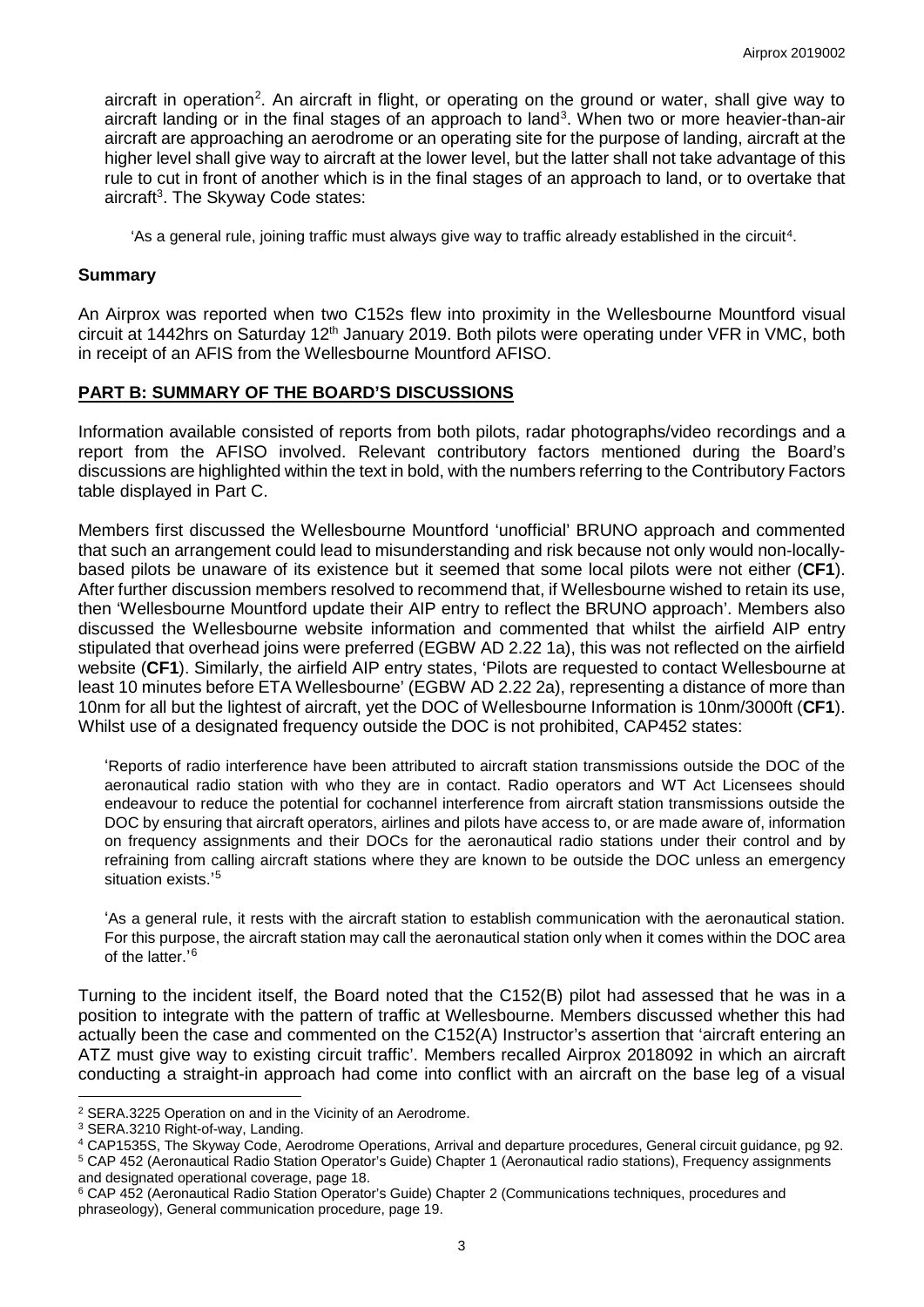aircraft in operation<sup>[2](#page-2-0)</sup>. An aircraft in flight, or operating on the ground or water, shall give way to aircraft landing or in the final stages of an approach to land<sup>[3](#page-2-1)</sup>. When two or more heavier-than-air aircraft are approaching an aerodrome or an operating site for the purpose of landing, aircraft at the higher level shall give way to aircraft at the lower level, but the latter shall not take advantage of this rule to cut in front of another which is in the final stages of an approach to land, or to overtake that aircraft<sup>3</sup>. The Skyway Code states:

'As a general rule, joining traffic must always give way to traffic already established in the circuit[4.](#page-2-2)

### **Summary**

An Airprox was reported when two C152s flew into proximity in the Wellesbourne Mountford visual circuit at 1442hrs on Saturday 12<sup>th</sup> January 2019. Both pilots were operating under VFR in VMC, both in receipt of an AFIS from the Wellesbourne Mountford AFISO.

## **PART B: SUMMARY OF THE BOARD'S DISCUSSIONS**

Information available consisted of reports from both pilots, radar photographs/video recordings and a report from the AFISO involved. Relevant contributory factors mentioned during the Board's discussions are highlighted within the text in bold, with the numbers referring to the Contributory Factors table displayed in Part C.

Members first discussed the Wellesbourne Mountford 'unofficial' BRUNO approach and commented that such an arrangement could lead to misunderstanding and risk because not only would non-locallybased pilots be unaware of its existence but it seemed that some local pilots were not either (**CF1**). After further discussion members resolved to recommend that, if Wellesbourne wished to retain its use, then 'Wellesbourne Mountford update their AIP entry to reflect the BRUNO approach'. Members also discussed the Wellesbourne website information and commented that whilst the airfield AIP entry stipulated that overhead joins were preferred (EGBW AD 2.22 1a), this was not reflected on the airfield website (**CF1**). Similarly, the airfield AIP entry states, 'Pilots are requested to contact Wellesbourne at least 10 minutes before ETA Wellesbourne' (EGBW AD 2.22 2a), representing a distance of more than 10nm for all but the lightest of aircraft, yet the DOC of Wellesbourne Information is 10nm/3000ft (**CF1**). Whilst use of a designated frequency outside the DOC is not prohibited, CAP452 states:

'Reports of radio interference have been attributed to aircraft station transmissions outside the DOC of the aeronautical radio station with who they are in contact. Radio operators and WT Act Licensees should endeavour to reduce the potential for cochannel interference from aircraft station transmissions outside the DOC by ensuring that aircraft operators, airlines and pilots have access to, or are made aware of, information on frequency assignments and their DOCs for the aeronautical radio stations under their control and by refraining from calling aircraft stations where they are known to be outside the DOC unless an emergency situation exists.' [5](#page-2-3)

'As a general rule, it rests with the aircraft station to establish communication with the aeronautical station. For this purpose, the aircraft station may call the aeronautical station only when it comes within the DOC area of the latter.' [6](#page-2-4)

Turning to the incident itself, the Board noted that the C152(B) pilot had assessed that he was in a position to integrate with the pattern of traffic at Wellesbourne. Members discussed whether this had actually been the case and commented on the C152(A) Instructor's assertion that 'aircraft entering an ATZ must give way to existing circuit traffic'. Members recalled Airprox 2018092 in which an aircraft conducting a straight-in approach had come into conflict with an aircraft on the base leg of a visual

l

<span id="page-2-3"></span>and designated operational coverage, page 18.

<span id="page-2-0"></span><sup>2</sup> SERA.3225 Operation on and in the Vicinity of an Aerodrome.

<span id="page-2-1"></span><sup>3</sup> SERA.3210 Right-of-way, Landing.

<span id="page-2-2"></span><sup>4</sup> CAP1535S, The Skyway Code, Aerodrome Operations, Arrival and departure procedures, General circuit guidance, pg 92. <sup>5</sup> CAP 452 (Aeronautical Radio Station Operator's Guide) Chapter 1 (Aeronautical radio stations), Frequency assignments

<span id="page-2-4"></span><sup>6</sup> CAP 452 (Aeronautical Radio Station Operator's Guide) Chapter 2 (Communications techniques, procedures and phraseology), General communication procedure, page 19.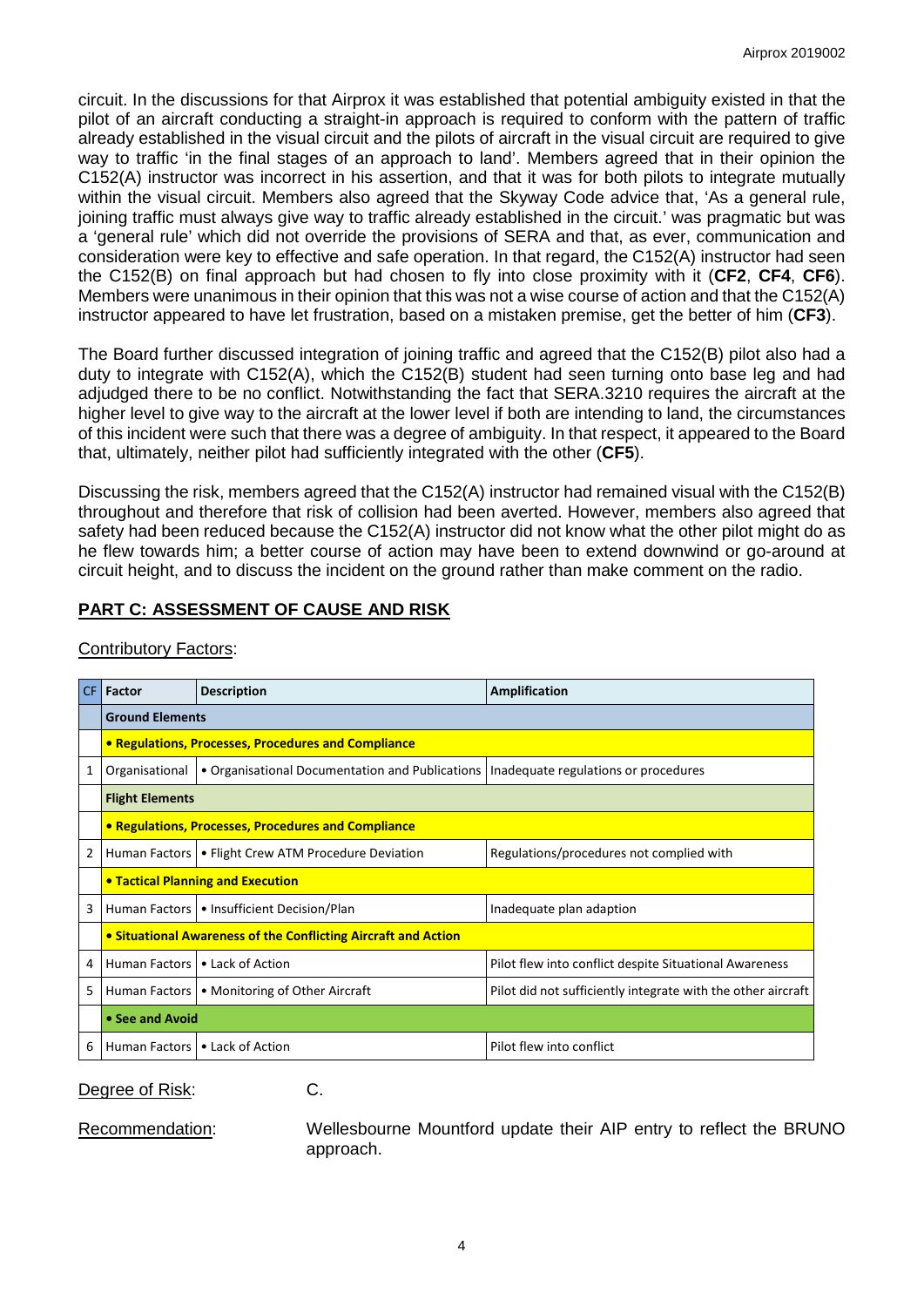circuit. In the discussions for that Airprox it was established that potential ambiguity existed in that the pilot of an aircraft conducting a straight-in approach is required to conform with the pattern of traffic already established in the visual circuit and the pilots of aircraft in the visual circuit are required to give way to traffic 'in the final stages of an approach to land'. Members agreed that in their opinion the C152(A) instructor was incorrect in his assertion, and that it was for both pilots to integrate mutually within the visual circuit. Members also agreed that the Skyway Code advice that, 'As a general rule, joining traffic must always give way to traffic already established in the circuit.' was pragmatic but was a 'general rule' which did not override the provisions of SERA and that, as ever, communication and consideration were key to effective and safe operation. In that regard, the C152(A) instructor had seen the C152(B) on final approach but had chosen to fly into close proximity with it (**CF2**, **CF4**, **CF6**). Members were unanimous in their opinion that this was not a wise course of action and that the C152(A) instructor appeared to have let frustration, based on a mistaken premise, get the better of him (**CF3**).

The Board further discussed integration of joining traffic and agreed that the C152(B) pilot also had a duty to integrate with C152(A), which the C152(B) student had seen turning onto base leg and had adjudged there to be no conflict. Notwithstanding the fact that SERA.3210 requires the aircraft at the higher level to give way to the aircraft at the lower level if both are intending to land, the circumstances of this incident were such that there was a degree of ambiguity. In that respect, it appeared to the Board that, ultimately, neither pilot had sufficiently integrated with the other (**CF5**).

Discussing the risk, members agreed that the C152(A) instructor had remained visual with the C152(B) throughout and therefore that risk of collision had been averted. However, members also agreed that safety had been reduced because the C152(A) instructor did not know what the other pilot might do as he flew towards him; a better course of action may have been to extend downwind or go-around at circuit height, and to discuss the incident on the ground rather than make comment on the radio.

# **PART C: ASSESSMENT OF CAUSE AND RISK**

| CF. | Factor                                                         | <b>Description</b>                                                                     | Amplification                                                |  |  |  |  |
|-----|----------------------------------------------------------------|----------------------------------------------------------------------------------------|--------------------------------------------------------------|--|--|--|--|
|     | <b>Ground Elements</b>                                         |                                                                                        |                                                              |  |  |  |  |
|     | • Regulations, Processes, Procedures and Compliance            |                                                                                        |                                                              |  |  |  |  |
| 1   | Organisational                                                 | • Organisational Documentation and Publications   Inadequate regulations or procedures |                                                              |  |  |  |  |
|     | <b>Flight Elements</b>                                         |                                                                                        |                                                              |  |  |  |  |
|     | • Regulations, Processes, Procedures and Compliance            |                                                                                        |                                                              |  |  |  |  |
| 2   |                                                                | Human Factors   • Flight Crew ATM Procedure Deviation                                  | Regulations/procedures not complied with                     |  |  |  |  |
|     | <b>• Tactical Planning and Execution</b>                       |                                                                                        |                                                              |  |  |  |  |
| 3   |                                                                | Human Factors   • Insufficient Decision/Plan                                           | Inadequate plan adaption                                     |  |  |  |  |
|     | • Situational Awareness of the Conflicting Aircraft and Action |                                                                                        |                                                              |  |  |  |  |
| 4   | Human Factors                                                  | • Lack of Action                                                                       | Pilot flew into conflict despite Situational Awareness       |  |  |  |  |
| 5   | Human Factors                                                  | • Monitoring of Other Aircraft                                                         | Pilot did not sufficiently integrate with the other aircraft |  |  |  |  |
|     | • See and Avoid                                                |                                                                                        |                                                              |  |  |  |  |
| 6   |                                                                | Human Factors   • Lack of Action                                                       | Pilot flew into conflict                                     |  |  |  |  |

Contributory Factors:

Degree of Risk: C.

Recommendation: Wellesbourne Mountford update their AIP entry to reflect the BRUNO approach.